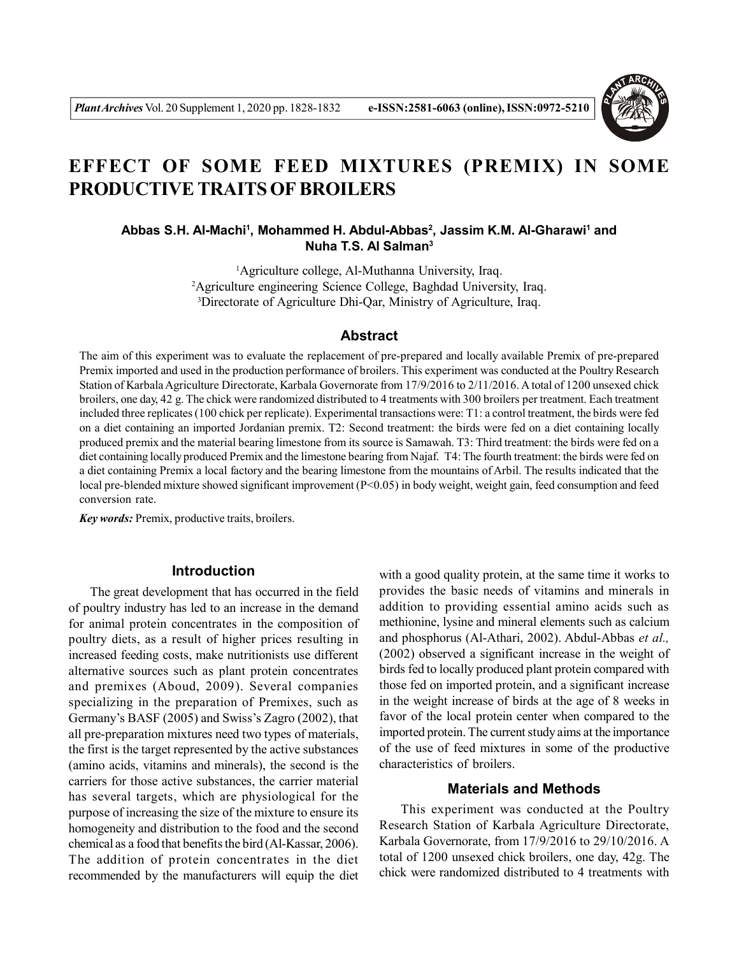

# **EFFECT OF SOME FEED MIXTURES (PREMIX) IN SOME PRODUCTIVE TRAITS OF BROILERS**

## **Abbas S.H. Al-Machi<sup>1</sup> , Mohammed H. Abdul-Abbas<sup>2</sup> , Jassim K.M. Al-Gharawi<sup>1</sup> and Nuha T.S. Al Salman<sup>3</sup>**

<sup>1</sup>Agriculture college, Al-Muthanna University, Iraq. <sup>2</sup>Agriculture engineering Science College, Baghdad University, Iraq. <sup>3</sup>Directorate of Agriculture Dhi-Qar, Ministry of Agriculture, Iraq.

#### **Abstract**

The aim of this experiment was to evaluate the replacement of pre-prepared and locally available Premix of pre-prepared Premix imported and used in the production performance of broilers. This experiment was conducted at the Poultry Research Station of Karbala Agriculture Directorate, Karbala Governorate from 17/9/2016 to 2/11/2016. A total of 1200 unsexed chick broilers, one day, 42 g. The chick were randomized distributed to 4 treatments with 300 broilers per treatment. Each treatment included three replicates (100 chick per replicate). Experimental transactions were: T1: a control treatment, the birds were fed on a diet containing an imported Jordanian premix. T2: Second treatment: the birds were fed on a diet containing locally produced premix and the material bearing limestone from its source is Samawah. T3: Third treatment: the birds were fed on a diet containing locally produced Premix and the limestone bearing from Najaf. T4: The fourth treatment: the birds were fed on a diet containing Premix a local factory and the bearing limestone from the mountains of Arbil. The results indicated that the local pre-blended mixture showed significant improvement (P<0.05) in body weight, weight gain, feed consumption and feed conversion rate.

*Key words:* Premix, productive traits, broilers.

## **Introduction**

The great development that has occurred in the field of poultry industry has led to an increase in the demand for animal protein concentrates in the composition of poultry diets, as a result of higher prices resulting in increased feeding costs, make nutritionists use different alternative sources such as plant protein concentrates and premixes (Aboud, 2009). Several companies specializing in the preparation of Premixes, such as Germany's BASF (2005) and Swiss's Zagro (2002), that all pre-preparation mixtures need two types of materials, the first is the target represented by the active substances (amino acids, vitamins and minerals), the second is the carriers for those active substances, the carrier material has several targets, which are physiological for the purpose of increasing the size of the mixture to ensure its homogeneity and distribution to the food and the second chemical as a food that benefits the bird (Al-Kassar, 2006). The addition of protein concentrates in the diet recommended by the manufacturers will equip the diet

with a good quality protein, at the same time it works to provides the basic needs of vitamins and minerals in addition to providing essential amino acids such as methionine, lysine and mineral elements such as calcium and phosphorus (Al-Athari, 2002). Abdul-Abbas *et al.,* (2002) observed a significant increase in the weight of birds fed to locally produced plant protein compared with those fed on imported protein, and a significant increase in the weight increase of birds at the age of 8 weeks in favor of the local protein center when compared to the imported protein. The current study aims at the importance of the use of feed mixtures in some of the productive characteristics of broilers.

## **Materials and Methods**

This experiment was conducted at the Poultry Research Station of Karbala Agriculture Directorate, Karbala Governorate, from 17/9/2016 to 29/10/2016. A total of 1200 unsexed chick broilers, one day, 42g. The chick were randomized distributed to 4 treatments with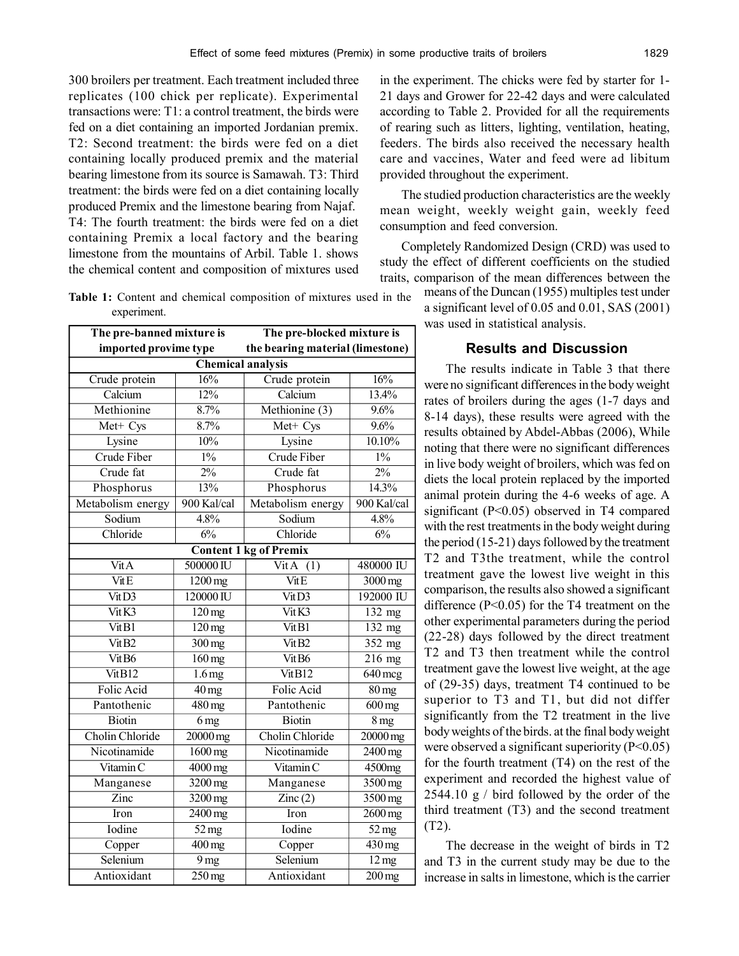300 broilers per treatment. Each treatment included three replicates (100 chick per replicate). Experimental transactions were: T1: a control treatment, the birds were fed on a diet containing an imported Jordanian premix. T2: Second treatment: the birds were fed on a diet containing locally produced premix and the material bearing limestone from its source is Samawah. T3: Third treatment: the birds were fed on a diet containing locally produced Premix and the limestone bearing from Najaf. T4: The fourth treatment: the birds were fed on a diet containing Premix a local factory and the bearing limestone from the mountains of Arbil. Table 1. shows the chemical content and composition of mixtures used

**Table 1:** Content and chemical composition of mixtures used in the experiment.

| The pre-banned mixture is     |                        | The pre-blocked mixture is       |                             |  |  |  |  |  |  |
|-------------------------------|------------------------|----------------------------------|-----------------------------|--|--|--|--|--|--|
| imported provime type         |                        | the bearing material (limestone) |                             |  |  |  |  |  |  |
| <b>Chemical analysis</b>      |                        |                                  |                             |  |  |  |  |  |  |
| Crude protein                 | 16%                    | Crude protein                    | 16%                         |  |  |  |  |  |  |
| $\overline{\text{Calcium}}$   | 12%                    | Calcium                          | 13.4%                       |  |  |  |  |  |  |
| Methionine                    | 8.7%                   | Methionine (3)                   | 9.6%                        |  |  |  |  |  |  |
| Met+ Cys                      | 8.7%                   | Met+ Cys                         | 9.6%                        |  |  |  |  |  |  |
| Lysine                        | $\frac{10\%}{10\%}$    | Lysine                           | 10.10%                      |  |  |  |  |  |  |
| Crude Fiber                   | $1\%$                  | Crude Fiber                      | $1\overline{0/6}$           |  |  |  |  |  |  |
| Crude fat                     | $\overline{2\%}$       | Crude fat                        | $\overline{2\%}$            |  |  |  |  |  |  |
| Phosphorus                    | $\frac{13\%}{2\%}$     | Phosphorus                       | 14.3%                       |  |  |  |  |  |  |
| Metabolism energy             | 900 Kal/cal            | Metabolism energy                | 900 Kal/cal                 |  |  |  |  |  |  |
| Sodium                        | 4.8%                   | Sodium                           | 4.8%                        |  |  |  |  |  |  |
| Chloride                      | $\frac{6\%}{\sqrt{2}}$ | Chloride                         | 6%                          |  |  |  |  |  |  |
| <b>Content 1 kg of Premix</b> |                        |                                  |                             |  |  |  |  |  |  |
| $V$ it A                      | 500000 IU              | $\overline{\text{VitA}}$ (1)     | 480000 IU                   |  |  |  |  |  |  |
| VitE                          | 1200 mg                | $\overline{\text{Vit}}$ E        | 3000 mg                     |  |  |  |  |  |  |
| VitD3                         | 120000 IU              | VitD3                            | 192000 IU                   |  |  |  |  |  |  |
| $V$ it K3                     | $\overline{120}$ mg    | $V$ it K3                        | 132 mg                      |  |  |  |  |  |  |
| VitB1                         | $120 \,\mathrm{mg}$    | $V$ it B1                        | $132$ mg                    |  |  |  |  |  |  |
| Vit <sub>B2</sub>             | 300 mg                 | Vit <sub>B2</sub>                | $\overline{352}$ mg         |  |  |  |  |  |  |
| Vit B6                        | $160 \,\mathrm{mg}$    | $\overline{\text{Vit}}$ B6       | $\overline{216}$ mg         |  |  |  |  |  |  |
| Vit <sub>B12</sub>            | $\overline{1.6}$ mg    | $V$ it B12                       | 640 mcg                     |  |  |  |  |  |  |
| Folic Acid                    | $\overline{40}$ mg     | Folic Acid                       | $80 \,\mathrm{mg}$          |  |  |  |  |  |  |
| Pantothenic                   | $\overline{480}$ mg    | Pantothenic                      | $\overline{600}$ mg         |  |  |  |  |  |  |
| <b>Biotin</b>                 | 6 <sub>mg</sub>        | <b>Biotin</b>                    | 8 mg                        |  |  |  |  |  |  |
| Cholin Chloride               | $20000$ mg             | Cholin Chloride                  | $20000$ mg                  |  |  |  |  |  |  |
| Nicotinamide                  | 1600 mg                | Nicotinamide                     | 2400 mg                     |  |  |  |  |  |  |
| $V$ itamin $C$                | 4000 mg                | $V$ itamin $C$                   | $\overline{4500}$ mg        |  |  |  |  |  |  |
| Manganese                     | $\overline{3200}$ mg   | Manganese                        | $\frac{1}{3500}$ mg         |  |  |  |  |  |  |
| $\overline{\mathrm{Zinc}}$    | 3200 mg                | $\overline{\text{Zinc}(2)}$      | $3500$ mg                   |  |  |  |  |  |  |
| Iron                          | $2400 \,\mathrm{mg}$   | Iron                             | $2600$ mg                   |  |  |  |  |  |  |
| Iodine                        | $\overline{52}$ mg     | Iodine                           | $\overline{52}$ mg          |  |  |  |  |  |  |
| Copper                        | $400 \,\mathrm{mg}$    | Copper                           | $430 \,\mathrm{mg}$         |  |  |  |  |  |  |
| Selenium                      | $\overline{9}$ mg      | Selenium                         | $\frac{12}{mg}$             |  |  |  |  |  |  |
| Antioxidant                   | $\overline{250}$ mg    | Antioxidant                      | $\overline{200 \text{ mg}}$ |  |  |  |  |  |  |

in the experiment. The chicks were fed by starter for 1- 21 days and Grower for 22-42 days and were calculated according to Table 2. Provided for all the requirements of rearing such as litters, lighting, ventilation, heating, feeders. The birds also received the necessary health care and vaccines, Water and feed were ad libitum provided throughout the experiment.

The studied production characteristics are the weekly mean weight, weekly weight gain, weekly feed consumption and feed conversion.

Completely Randomized Design (CRD) was used to study the effect of different coefficients on the studied traits, comparison of the mean differences between the

> means of the Duncan (1955) multiples test under a significant level of 0.05 and 0.01, SAS (2001) was used in statistical analysis.

## **Results and Discussion**

The results indicate in Table 3 that there were no significant differences in the body weight rates of broilers during the ages (1-7 days and 8-14 days), these results were agreed with the results obtained by Abdel-Abbas (2006), While noting that there were no significant differences in live body weight of broilers, which was fed on diets the local protein replaced by the imported animal protein during the 4-6 weeks of age. A significant (P<0.05) observed in T4 compared with the rest treatments in the body weight during the period (15-21) days followed by the treatment T2 and T3the treatment, while the control treatment gave the lowest live weight in this comparison, the results also showed a significant difference (P<0.05) for the T4 treatment on the other experimental parameters during the period (22-28) days followed by the direct treatment T2 and T3 then treatment while the control treatment gave the lowest live weight, at the age of (29-35) days, treatment T4 continued to be superior to T3 and T1, but did not differ significantly from the T2 treatment in the live body weights of the birds. at the final body weight were observed a significant superiority  $(P<0.05)$ for the fourth treatment (T4) on the rest of the experiment and recorded the highest value of 2544.10 g / bird followed by the order of the third treatment (T3) and the second treatment (T2).

The decrease in the weight of birds in T2 and T3 in the current study may be due to the increase in salts in limestone, which is the carrier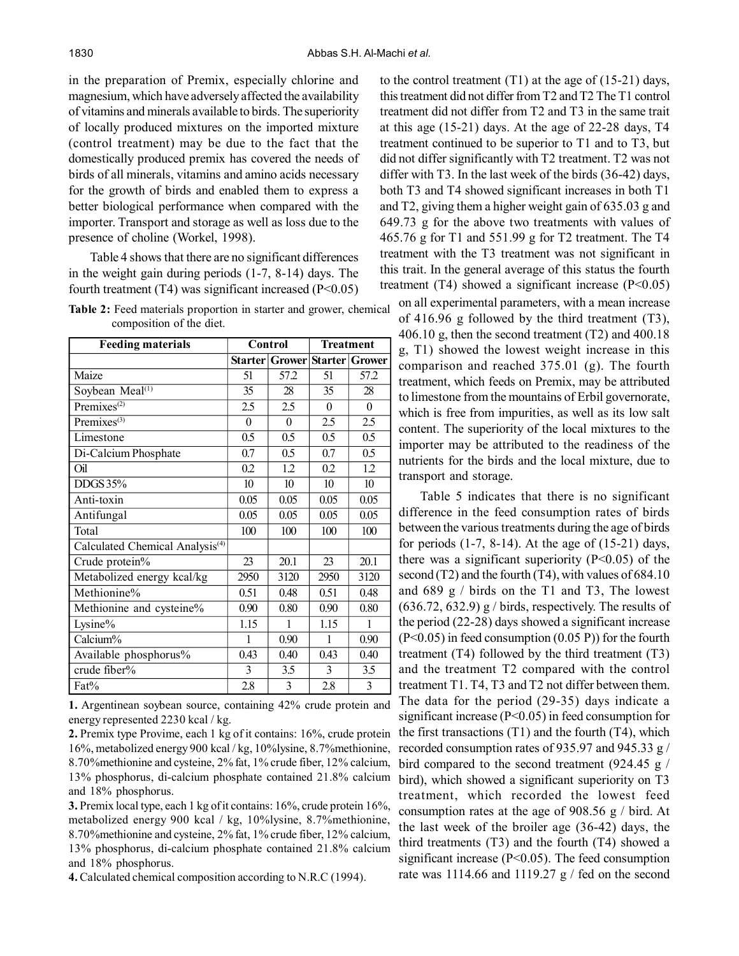in the preparation of Premix, especially chlorine and magnesium, which have adversely affected the availability of vitamins and minerals available to birds. The superiority of locally produced mixtures on the imported mixture (control treatment) may be due to the fact that the domestically produced premix has covered the needs of birds of all minerals, vitamins and amino acids necessary for the growth of birds and enabled them to express a better biological performance when compared with the importer. Transport and storage as well as loss due to the presence of choline (Workel, 1998).

Table 4 shows that there are no significant differences in the weight gain during periods (1-7, 8-14) days. The fourth treatment (T4) was significant increased ( $P<0.05$ )

| <b>Feeding materials</b>                    |          | Control                       | <b>Treatment</b> |          |  |
|---------------------------------------------|----------|-------------------------------|------------------|----------|--|
|                                             |          | Starter Grower Starter Grower |                  |          |  |
| Maize                                       | 51       | 57.2                          | 51               | 57.2     |  |
| Soybean Meal <sup>(1)</sup>                 | 35       | 28                            | 35               | 28       |  |
| Premixes <sup>(2)</sup>                     | 2.5      | 2.5                           | $\theta$         | $\theta$ |  |
| Premixes $(3)$                              | $\theta$ | $\Omega$                      | 2.5              | 2.5      |  |
| Limestone                                   | 0.5      | 0.5                           | 0.5              | 0.5      |  |
| Di-Calcium Phosphate                        | 0.7      | 0.5                           | 0.7              | 0.5      |  |
| Oil                                         | 0.2      | 1.2                           | 0.2              | 1.2      |  |
| DDGS35%                                     | 10       | 10                            | 10               | 10       |  |
| Anti-toxin                                  | 0.05     | 0.05                          | 0.05             | 0.05     |  |
| Antifungal                                  | 0.05     | 0.05                          | 0.05             | 0.05     |  |
| Total                                       | 100      | 100                           | 100              | 100      |  |
| Calculated Chemical Analysis <sup>(4)</sup> |          |                               |                  |          |  |
| Crude protein%                              | 23       | 201                           | 23               | 20.1     |  |
| Metabolized energy kcal/kg                  | 2950     | 3120                          | 2950             | 3120     |  |
| Methionine%                                 | 0.51     | 0.48                          | 0.51             | 0.48     |  |
| Methionine and cysteine%                    | 0.90     | 0.80                          | 0.90             | 0.80     |  |
| Lysine%                                     | 1.15     | 1                             | 1.15             | 1        |  |
| Calcium%                                    | 1        | 0.90                          | 1                | 0.90     |  |
| Available phosphorus%                       | 0.43     | 0.40                          | 0.43             | 0.40     |  |
| crude fiber%                                | 3        | 3.5                           | 3                | 3.5      |  |
| Fat%                                        | 2.8      | 3                             | 2.8              | 3        |  |

**Table 2:** Feed materials proportion in starter and grower, chemical composition of the diet.

**1.** Argentinean soybean source, containing 42% crude protein and energy represented 2230 kcal / kg.

**2.** Premix type Provime, each 1 kg of it contains: 16%, crude protein 16%, metabolized energy 900 kcal / kg, 10%lysine, 8.7%methionine, 8.70%methionine and cysteine, 2% fat, 1% crude fiber, 12% calcium, 13% phosphorus, di-calcium phosphate contained 21.8% calcium and 18% phosphorus.

**3.** Premix local type, each 1 kg of it contains: 16%, crude protein 16%, metabolized energy 900 kcal / kg, 10%lysine, 8.7%methionine, 8.70%methionine and cysteine, 2% fat, 1% crude fiber, 12% calcium, 13% phosphorus, di-calcium phosphate contained 21.8% calcium and 18% phosphorus.

**4.** Calculated chemical composition according to N.R.C (1994).

to the control treatment  $(T1)$  at the age of  $(15-21)$  days, this treatment did not differ from T2 and T2 The T1 control treatment did not differ from T2 and T3 in the same trait at this age (15-21) days. At the age of 22-28 days, T4 treatment continued to be superior to T1 and to T3, but did not differ significantly with T2 treatment. T2 was not differ with T3. In the last week of the birds (36-42) days, both T3 and T4 showed significant increases in both T1 and T2, giving them a higher weight gain of 635.03 g and 649.73 g for the above two treatments with values of 465.76 g for T1 and 551.99 g for T2 treatment. The T4 treatment with the T3 treatment was not significant in this trait. In the general average of this status the fourth treatment  $(T4)$  showed a significant increase  $(P<0.05)$ 

on all experimental parameters, with a mean increase of 416.96 g followed by the third treatment (T3), 406.10 g, then the second treatment (T2) and 400.18 g, T1) showed the lowest weight increase in this comparison and reached 375.01 (g). The fourth treatment, which feeds on Premix, may be attributed to limestone from the mountains of Erbil governorate, which is free from impurities, as well as its low salt content. The superiority of the local mixtures to the importer may be attributed to the readiness of the nutrients for the birds and the local mixture, due to transport and storage.

Table 5 indicates that there is no significant difference in the feed consumption rates of birds between the various treatments during the age of birds for periods  $(1-7, 8-14)$ . At the age of  $(15-21)$  days, there was a significant superiority  $(P<0.05)$  of the second (T2) and the fourth (T4), with values of 684.10 and 689 g / birds on the T1 and T3, The lowest  $(636.72, 632.9)$  g / birds, respectively. The results of the period (22-28) days showed a significant increase  $(P<0.05)$  in feed consumption  $(0.05 P)$ ) for the fourth treatment (T4) followed by the third treatment (T3) and the treatment T2 compared with the control treatment T1. T4, T3 and T2 not differ between them. The data for the period (29-35) days indicate a significant increase (P<0.05) in feed consumption for the first transactions  $(T1)$  and the fourth  $(T4)$ , which recorded consumption rates of 935.97 and 945.33 g / bird compared to the second treatment (924.45 g / bird), which showed a significant superiority on T3 treatment, which recorded the lowest feed consumption rates at the age of 908.56 g / bird. At the last week of the broiler age (36-42) days, the third treatments (T3) and the fourth (T4) showed a significant increase (P<0.05). The feed consumption rate was 1114.66 and 1119.27  $g$  / fed on the second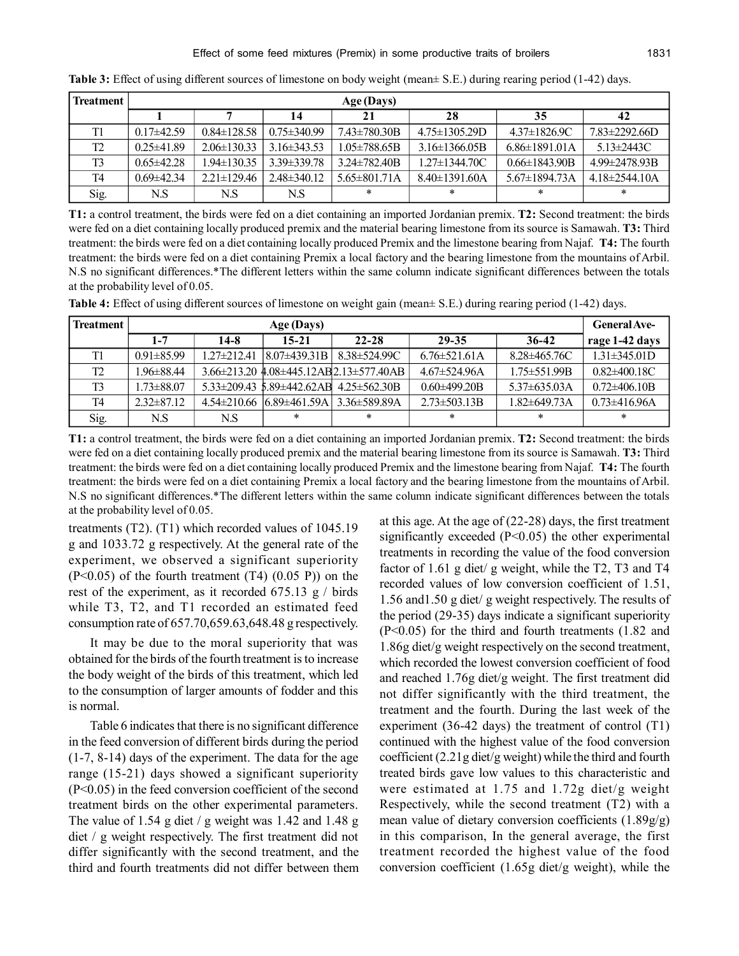| <b>Treatment</b> | Age (Days)       |                   |                   |                     |                      |                      |                      |  |  |
|------------------|------------------|-------------------|-------------------|---------------------|----------------------|----------------------|----------------------|--|--|
|                  |                  |                   | 14                | 21                  | 28                   | 35                   | 42                   |  |  |
| T1               | $0.17\pm42.59$   | $0.84 \pm 128.58$ | $0.75 \pm 340.99$ | 7.43±780.30B        | $4.75 \pm 1305.29$ D | $4.37\pm1826.9C$     | $7.83 \pm 2292.66$ D |  |  |
| T2               | $0.25 \pm 41.89$ | $2.06\pm130.33$   | $3.16\pm343.53$   | $1.05 \pm 788.65B$  | $3.16\pm1366.05B$    | $6.86\pm1891.01A$    | $5.13 \pm 2443$ C    |  |  |
| T <sub>3</sub>   | $0.65 \pm 42.28$ | $1.94 \pm 130.35$ | 3.39±339.78       | $3.24 \pm 782.40 B$ | $1.27 \pm 1344.70C$  | $0.66 \pm 1843.90 B$ | 4.99±2478.93B        |  |  |
| T4               | $0.69 \pm 42.34$ | $2.21 \pm 129.46$ | $2.48\pm340.12$   | $5.65 \pm 801.71$ A | $8.40 \pm 1391.60$ A | $5.67\pm1894.73A$    | $4.18\pm 2544.10A$   |  |  |
| Sig.             | N.S              | N.S               | N.S               | $\ast$              | $\ast$               | $\ast$               |                      |  |  |

**Table 3:** Effect of using different sources of limestone on body weight (mean± S.E.) during rearing period (1-42) days.

**T1:** a control treatment, the birds were fed on a diet containing an imported Jordanian premix. **T2:** Second treatment: the birds were fed on a diet containing locally produced premix and the material bearing limestone from its source is Samawah. **T3:** Third treatment: the birds were fed on a diet containing locally produced Premix and the limestone bearing from Najaf. **T4:** The fourth treatment: the birds were fed on a diet containing Premix a local factory and the bearing limestone from the mountains of Arbil. N.S no significant differences.\*The different letters within the same column indicate significant differences between the totals at the probability level of 0.05.

**Table 4:** Effect of using different sources of limestone on weight gain (mean± S.E.) during rearing period (1-42) days.

| <b>Treatment</b> |                  | <b>General Ave-</b> |                                   |                                                                    |                     |                     |                    |
|------------------|------------------|---------------------|-----------------------------------|--------------------------------------------------------------------|---------------------|---------------------|--------------------|
|                  | $1 - 7$          | $14 - 8$            | $15 - 21$                         | 22-28                                                              | 29-35               | $36-42$             | rage 1-42 days     |
| T1               | $0.91 \pm 85.99$ | $1.27 \pm 212.41$   | $8.07\pm439.31B$                  | 8.38±524.99C                                                       | $6.76\pm521.61A$    | $8.28\pm465.76C$    | $1.31 \pm 345.01D$ |
| T2               | 1.96±88.44       |                     |                                   | $3.66\pm213.20$ 4.08 $\pm$ 445.12AB <sub>2.13</sub> $\pm$ 577.40AB | $4.67 \pm 524.96$ A | $1.75 \pm 551.99B$  | $0.82\pm400.18C$   |
| T3               | $1.73 \pm 88.07$ |                     |                                   | $5.33\pm209.43$ $5.89\pm442.62$ AB $4.25\pm562.30$ B               | $0.60\pm499.20B$    | $5.37\pm 635.03A$   | $0.72\pm406.10B$   |
| T4               | $2.32\pm 87.12$  |                     | $4.54\pm210.66$ $6.89\pm461.59$ A | $3.36\pm589.89A$                                                   | $2.73 \pm 503.13 B$ | $1.82 \pm 649.73$ A | $0.73\pm416.96A$   |
| Sig.             | N.S              | N.S                 | *                                 | $\ast$                                                             | $\ast$              | $\ast$              | $\ast$             |

**T1:** a control treatment, the birds were fed on a diet containing an imported Jordanian premix. **T2:** Second treatment: the birds were fed on a diet containing locally produced premix and the material bearing limestone from its source is Samawah. **T3:** Third treatment: the birds were fed on a diet containing locally produced Premix and the limestone bearing from Najaf. **T4:** The fourth treatment: the birds were fed on a diet containing Premix a local factory and the bearing limestone from the mountains of Arbil. N.S no significant differences.\*The different letters within the same column indicate significant differences between the totals at the probability level of 0.05.

treatments (T2). (T1) which recorded values of 1045.19 g and 1033.72 g respectively. At the general rate of the experiment, we observed a significant superiority  $(P<0.05)$  of the fourth treatment  $(T4)$   $(0.05 P)$  on the rest of the experiment, as it recorded 675.13 g / birds while T3, T2, and T1 recorded an estimated feed consumption rate of 657.70,659.63,648.48 g respectively.

It may be due to the moral superiority that was obtained for the birds of the fourth treatment is to increase the body weight of the birds of this treatment, which led to the consumption of larger amounts of fodder and this is normal.

Table 6 indicates that there is no significant difference in the feed conversion of different birds during the period (1-7, 8-14) days of the experiment. The data for the age range (15-21) days showed a significant superiority (P<0.05) in the feed conversion coefficient of the second treatment birds on the other experimental parameters. The value of 1.54 g diet  $/$  g weight was 1.42 and 1.48 g diet / g weight respectively. The first treatment did not differ significantly with the second treatment, and the third and fourth treatments did not differ between them at this age. At the age of (22-28) days, the first treatment significantly exceeded (P<0.05) the other experimental treatments in recording the value of the food conversion factor of 1.61 g diet/ g weight, while the T2, T3 and T4 recorded values of low conversion coefficient of 1.51, 1.56 and1.50 g diet/ g weight respectively. The results of the period (29-35) days indicate a significant superiority (P<0.05) for the third and fourth treatments (1.82 and 1.86g diet/g weight respectively on the second treatment, which recorded the lowest conversion coefficient of food and reached 1.76g diet/g weight. The first treatment did not differ significantly with the third treatment, the treatment and the fourth. During the last week of the experiment (36-42 days) the treatment of control (T1) continued with the highest value of the food conversion coefficient (2.21g diet/g weight) while the third and fourth treated birds gave low values to this characteristic and were estimated at 1.75 and 1.72g diet/g weight Respectively, while the second treatment (T2) with a mean value of dietary conversion coefficients (1.89g/g) in this comparison, In the general average, the first treatment recorded the highest value of the food conversion coefficient (1.65g diet/g weight), while the